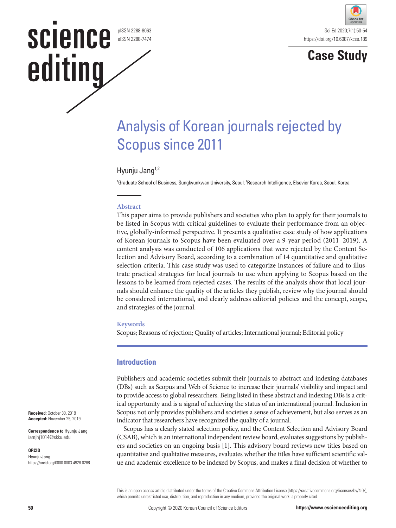pISSN 2288-8063 eISSN 2288-7474

**SCIENCE** 

editing



**Case Study**

# Analysis of Korean journals rejected by Scopus since 2011

# Hyunju Jang<sup>1,2</sup>

<sup>1</sup>Graduate School of Business, Sungkyunkwan University, Seoul; <sup>2</sup>Research Intelligence, Elsevier Korea, Seoul, Korea

### **Abstract**

This paper aims to provide publishers and societies who plan to apply for their journals to be listed in Scopus with critical guidelines to evaluate their performance from an objective, globally-informed perspective. It presents a qualitative case study of how applications of Korean journals to Scopus have been evaluated over a 9-year period (2011–2019). A content analysis was conducted of 106 applications that were rejected by the Content Selection and Advisory Board, according to a combination of 14 quantitative and qualitative selection criteria. This case study was used to categorize instances of failure and to illustrate practical strategies for local journals to use when applying to Scopus based on the lessons to be learned from rejected cases. The results of the analysis show that local journals should enhance the quality of the articles they publish, review why the journal should be considered international, and clearly address editorial policies and the concept, scope, and strategies of the journal.

#### **Keywords**

Scopus; Reasons of rejection; Quality of articles; International journal; Editorial policy

## **Introduction**

Publishers and academic societies submit their journals to abstract and indexing databases (DBs) such as Scopus and Web of Science to increase their journals' visibility and impact and to provide access to global researchers. Being listed in these abstract and indexing DBs is a critical opportunity and is a signal of achieving the status of an international journal. Inclusion in Scopus not only provides publishers and societies a sense of achievement, but also serves as an indicator that researchers have recognized the quality of a journal.

Scopus has a clearly stated selection policy, and the Content Selection and Advisory Board (CSAB), which is an international independent review board, evaluates suggestions by publishers and societies on an ongoing basis [1]. This advisory board reviews new titles based on quantitative and qualitative measures, evaluates whether the titles have sufficient scientific value and academic excellence to be indexed by Scopus, and makes a final decision of whether to

This is an open access article distributed under the terms of the Creative Commons Attribution License (https://creativecommons.org/licenses/by/4.0/), which permits unrestricted use, distribution, and reproduction in any medium, provided the original work is properly cited.

**Received:** October 30, 2019 **Accepted:** November 25, 2019

**Correspondence to** Hyunju Jang iamjhj1014@skku.edu

#### **ORCID**

Hyunju Jang https://orcid.org/0000-0003-4928-0288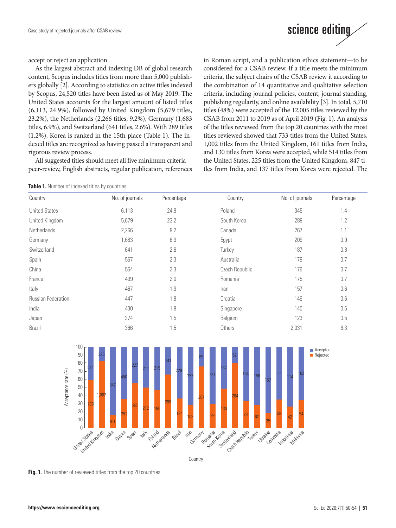

accept or reject an application.

As the largest abstract and indexing DB of global research content, Scopus includes titles from more than 5,000 publishers globally [2]. According to statistics on active titles indexed by Scopus, 24,520 titles have been listed as of May 2019. The United States accounts for the largest amount of listed titles (6,113, 24.9%), followed by United Kingdom (5,679 titles, 23.2%), the Netherlands (2,266 titles, 9.2%), Germany (1,683 titles, 6.9%), and Switzerland (641 titles, 2.6%). With 289 titles (1.2%), Korea is ranked in the 15th place (Table 1). The indexed titles are recognized as having passed a transparent and rigorous review process.

All suggested titles should meet all five minimum criteria peer-review, English abstracts, regular publication, references

**Table 1.** Number of indexed titles by countries

in Roman script, and a publication ethics statement—to be considered for a CSAB review. If a title meets the minimum criteria, the subject chairs of the CSAB review it according to the combination of 14 quantitative and qualitative selection criteria, including journal policies, content, journal standing, publishing regularity, and online availability [3]. In total, 5,710 titles (48%) were accepted of the 12,005 titles reviewed by the CSAB from 2011 to 2019 as of April 2019 (Fig. 1). An analysis of the titles reviewed from the top 20 countries with the most titles reviewed showed that 733 titles from the United States, 1,002 titles from the United Kingdom, 161 titles from India, and 130 titles from Korea were accepted, while 514 titles from the United States, 225 titles from the United Kingdom, 847 titles from India, and 137 titles from Korea were rejected. The

| Country                   | No. of journals | Percentage | Country        | No. of journals | Percentage |
|---------------------------|-----------------|------------|----------------|-----------------|------------|
| <b>United States</b>      | 6,113           | 24.9       | Poland         | 345             | 1.4        |
| United Kingdom            | 5,679           | 23.2       | South Korea    | 289             | 1.2        |
| <b>Netherlands</b>        | 2,266           | 9.2        | Canada         | 267             | 1.1        |
| Germany                   | 1,683           | 6.9        | Egypt          | 209             | 0.9        |
| Switzerland               | 641             | 2.6        | Turkey         | 187             | 0.8        |
| Spain                     | 567             | 2.3        | Australia      | 179             | 0.7        |
| China                     | 564             | 2.3        | Czech Republic | 176             | 0.7        |
| France                    | 499             | 2.0        | Romania        | 175             | 0.7        |
| Italy                     | 467             | 1.9        | Iran           | 157             | 0.6        |
| <b>Russian Federation</b> | 447             | 1.8        | Croatia        | 146             | 0.6        |
| India                     | 430             | 1.8        | Singapore      | 140             | 0.6        |
| Japan                     | 374             | 1.5        | Belgium        | 123             | 0.5        |
| <b>Brazil</b>             | 366             | 1.5        | Others         | 2,031           | 8.3        |



**Fig. 1.** The number of reviewed titles from the top 20 countries.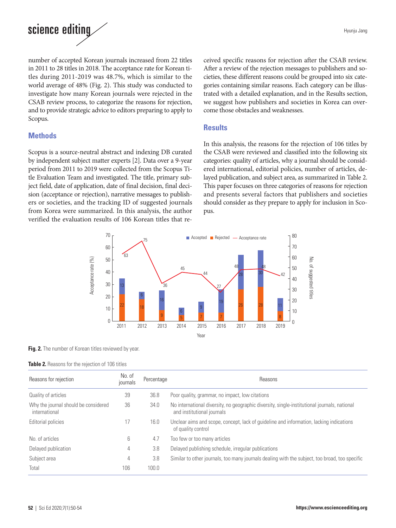

number of accepted Korean journals increased from 22 titles in 2011 to 28 titles in 2018. The acceptance rate for Korean titles during 2011-2019 was 48.7%, which is similar to the world average of 48% (Fig. 2). This study was conducted to investigate how many Korean journals were rejected in the CSAB review process, to categorize the reasons for rejection, and to provide strategic advice to editors preparing to apply to Scopus.

# **Methods**

Scopus is a source-neutral abstract and indexing DB curated by independent subject matter experts [2]. Data over a 9-year period from 2011 to 2019 were collected from the Scopus Title Evaluation Team and investigated. The title, primary subject field, date of application, date of final decision, final decision (acceptance or rejection), narrative messages to publishers or societies, and the tracking ID of suggested journals from Korea were summarized. In this analysis, the author verified the evaluation results of 106 Korean titles that received specific reasons for rejection after the CSAB review. After a review of the rejection messages to publishers and societies, these different reasons could be grouped into six categories containing similar reasons. Each category can be illustrated with a detailed explanation, and in the Results section, we suggest how publishers and societies in Korea can overcome those obstacles and weaknesses.

## **Results**

In this analysis, the reasons for the rejection of 106 titles by the CSAB were reviewed and classified into the following six categories: quality of articles, why a journal should be considered international, editorial policies, number of articles, delayed publication, and subject area, as summarized in Table 2. This paper focuses on three categories of reasons for rejection and presents several factors that publishers and societies should consider as they prepare to apply for inclusion in Scopus.



#### Fig. 2. The number of Korean titles reviewed by year.

#### **Table 2.** Reasons for the rejection of 106 titles

| Reasons for rejection                                 | No. of<br>journals | Percentage | Reasons                                                                                                                    |  |
|-------------------------------------------------------|--------------------|------------|----------------------------------------------------------------------------------------------------------------------------|--|
| Quality of articles                                   | 39                 | 36.8       | Poor quality, grammar, no impact, low citations                                                                            |  |
| Why the journal should be considered<br>international | 36                 | 34.0       | No international diversity, no geographic diversity, single-institutional journals, national<br>and institutional journals |  |
| Editorial policies                                    | 17                 | 16.0       | Unclear aims and scope, concept, lack of guideline and information, lacking indications<br>of quality control              |  |
| No. of articles                                       | 6                  | 4.7        | Too few or too many articles                                                                                               |  |
| Delayed publication                                   | 4                  | 3.8        | Delayed publishing schedule, irregular publications                                                                        |  |
| Subject area                                          | 4                  | 3.8        | Similar to other journals, too many journals dealing with the subject, too broad, too specific                             |  |
| Total                                                 | 106                | 100.0      |                                                                                                                            |  |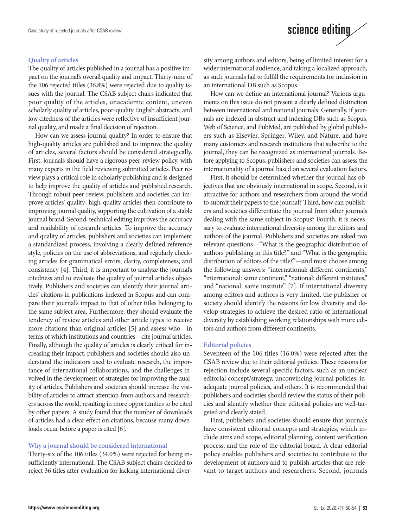## **Quality of articles**

The quality of articles published in a journal has a positive impact on the journal's overall quality and impact. Thirty-nine of the 106 rejected titles (36.8%) were rejected due to quality issues with the journal. The CSAB subject chairs indicated that poor quality of the articles, unacademic content, uneven scholarly quality of articles, poor-quality English abstracts, and low citedness of the articles were reflective of insufficient journal quality, and made a final decision of rejection.

How can we assess journal quality? In order to ensure that high-quality articles are published and to improve the quality of articles, several factors should be considered strategically. First, journals should have a rigorous peer-review policy, with many experts in the field reviewing submitted articles. Peer review plays a critical role in scholarly publishing and is designed to help improve the quality of articles and published research. Through robust peer review, publishers and societies can improve articles' quality; high-quality articles then contribute to improving journal quality, supporting the cultivation of a stable journal brand. Second, technical editing improves the accuracy and readability of research articles. To improve the accuracy and quality of articles, publishers and societies can implement a standardized process, involving a clearly defined reference style, policies on the use of abbreviations, and regularly checking articles for grammatical errors, clarity, completeness, and consistency [4]. Third, it is important to analyze the journal's citedness and to evaluate the quality of journal articles objectively. Publishers and societies can identify their journal articles' citations in publications indexed in Scopus and can compare their journal's impact to that of other titles belonging to the same subject area. Furthermore, they should evaluate the tendency of review articles and other article types to receive more citations than original articles [5] and assess who—in terms of which institutions and countries—cite journal articles. Finally, although the quality of articles is clearly critical for increasing their impact, publishers and societies should also understand the indicators used to evaluate research, the importance of international collaborations, and the challenges involved in the development of strategies for improving the quality of articles. Publishers and societies should increase the visibility of articles to attract attention from authors and researchers across the world, resulting in more opportunities to be cited by other papers. A study found that the number of downloads of articles had a clear effect on citations, because many downloads occur before a paper is cited [6].

#### **Why a journal should be considered international**

Thirty-six of the 106 titles (34.0%) were rejected for being insufficiently international. The CSAB subject chairs decided to reject 36 titles after evaluation for lacking international diversity among authors and editors, being of limited interest for a wider international audience, and taking a localized approach, as such journals fail to fulfill the requirements for inclusion in an international DB such as Scopus.

science editing

How can we define an international journal? Various arguments on this issue do not present a clearly defined distinction between international and national journals. Generally, if journals are indexed in abstract and indexing DBs such as Scopus, Web of Science, and PubMed, are published by global publishers such as Elsevier, Springer, Wiley, and Nature, and have many customers and research institutions that subscribe to the journal, they can be recognized as international journals. Before applying to Scopus, publishers and societies can assess the internationality of a journal based on several evaluation factors.

First, it should be determined whether the journal has objectives that are obviously international in scope. Second, is it attractive for authors and researchers from around the world to submit their papers to the journal? Third, how can publishers and societies differentiate the journal from other journals dealing with the same subject in Scopus? Fourth, it is necessary to evaluate international diversity among the editors and authors of the journal. Publishers and societies are asked two relevant questions—"What is the geographic distribution of authors publishing in this title?" and "What is the geographic distribution of editors of the title?"—and must choose among the following answers: "international: different continents," "international: same continent," "national: different institutes," and "national: same institute" [7]. If international diversity among editors and authors is very limited, the publisher or society should identify the reasons for low diversity and develop strategies to achieve the desired ratio of international diversity by establishing working relationships with more editors and authors from different continents.

#### **Editorial policies**

Seventeen of the 106 titles (16.0%) were rejected after the CSAB review due to their editorial policies. These reasons for rejection include several specific factors, such as an unclear editorial concept/strategy, unconvincing journal policies, inadequate journal policies, and others. It is recommended that publishers and societies should review the status of their policies and identify whether their editorial policies are well-targeted and clearly stated.

First, publishers and societies should ensure that journals have consistent editorial concepts and strategies, which include aims and scope, editorial planning, content verification process, and the role of the editorial board. A clear editorial policy enables publishers and societies to contribute to the development of authors and to publish articles that are relevant to target authors and researchers. Second, journals